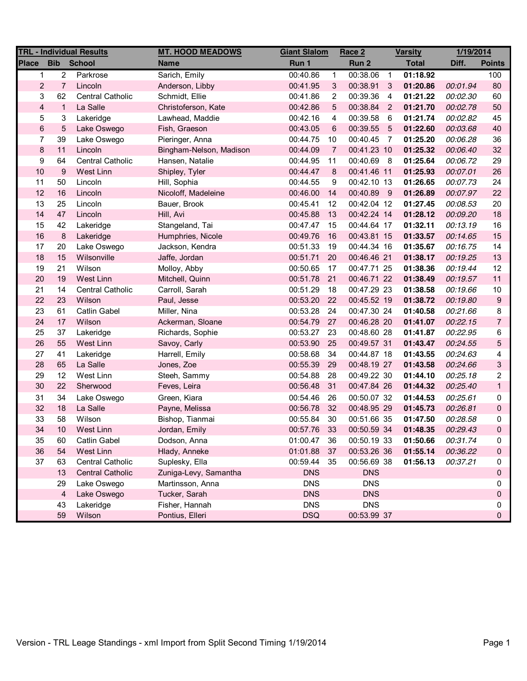| <b>TRL - Individual Results</b> |                 |                         | <b>MT. HOOD MEADOWS</b> | <b>Giant Slalom</b> |                | Race 2      | <b>Varsity</b> |              | 1/19/2014 |                |
|---------------------------------|-----------------|-------------------------|-------------------------|---------------------|----------------|-------------|----------------|--------------|-----------|----------------|
| <b>Place</b>                    | <b>Bib</b>      | <b>School</b>           | <b>Name</b>             | Run 1               |                | Run 2       |                | <b>Total</b> | Diff.     | <b>Points</b>  |
| 1                               | $\overline{c}$  | Parkrose                | Sarich, Emily           | 00:40.86            | $\mathbf{1}$   | 00:38.06    | $\overline{1}$ | 01:18.92     |           | 100            |
| $\overline{2}$                  | $\overline{7}$  | Lincoln                 | Anderson, Libby         | 00:41.95            | 3              | 00:38.91    | $\mathbf{3}$   | 01:20.86     | 00:01.94  | 80             |
| 3                               | 62              | <b>Central Catholic</b> | Schmidt, Ellie          | 00:41.86            | 2              | 00:39.36    | $\overline{4}$ | 01:21.22     | 00:02.30  | 60             |
| $\overline{\mathbf{4}}$         | $\mathbf{1}$    | La Salle                | Christoferson, Kate     | 00:42.86            | 5              | 00:38.84 2  |                | 01:21.70     | 00:02.78  | 50             |
| 5                               | 3               | Lakeridge               | Lawhead, Maddie         | 00:42.16            | 4              | 00:39.58    | - 6            | 01:21.74     | 00:02.82  | 45             |
| 6                               | $\sqrt{5}$      | Lake Oswego             | Fish, Graeson           | 00:43.05            | 6              | 00:39.55    | $-5$           | 01:22.60     | 00:03.68  | 40             |
| 7                               | 39              | Lake Oswego             | Pieringer, Anna         | 00:44.75            | 10             | 00:40.45    | $\overline{7}$ | 01:25.20     | 00:06.28  | 36             |
| $\bf 8$                         | 11              | Lincoln                 | Bingham-Nelson, Madison | 00:44.09            | $\overline{7}$ | 00:41.23 10 |                | 01:25.32     | 00:06.40  | 32             |
| 9                               | 64              | <b>Central Catholic</b> | Hansen, Natalie         | 00:44.95            | 11             | 00:40.69 8  |                | 01:25.64     | 00:06.72  | 29             |
| 10                              | 9               | West Linn               | Shipley, Tyler          | 00:44.47            | 8              | 00:41.46 11 |                | 01:25.93     | 00:07.01  | 26             |
| 11                              | 50              | Lincoln                 | Hill, Sophia            | 00:44.55            | 9              | 00:42.10 13 |                | 01:26.65     | 00:07.73  | 24             |
| 12                              | 16              | Lincoln                 | Nicoloff, Madeleine     | 00:46.00            | 14             | 00:40.89 9  |                | 01:26.89     | 00:07.97  | 22             |
| 13                              | 25              | Lincoln                 | Bauer, Brook            | 00:45.41            | 12             | 00:42.04 12 |                | 01:27.45     | 00:08.53  | 20             |
| 14                              | 47              | Lincoln                 | Hill, Avi               | 00:45.88            | 13             | 00:42.24 14 |                | 01:28.12     | 00:09.20  | 18             |
| 15                              | 42              | Lakeridge               | Stangeland, Tai         | 00:47.47            | 15             | 00:44.64 17 |                | 01:32.11     | 00:13.19  | 16             |
| $16$                            | $\bf 8$         | Lakeridge               | Humphries, Nicole       | 00:49.76            | 16             | 00:43.81 15 |                | 01:33.57     | 00:14.65  | 15             |
| 17                              | 20              | Lake Oswego             | Jackson, Kendra         | 00:51.33            | 19             | 00:44.34 16 |                | 01:35.67     | 00:16.75  | 14             |
| 18                              | 15              | Wilsonville             | Jaffe, Jordan           | 00:51.71            | 20             | 00:46.46 21 |                | 01:38.17     | 00:19.25  | 13             |
| 19                              | 21              | Wilson                  | Molloy, Abby            | 00:50.65            | 17             | 00:47.71 25 |                | 01:38.36     | 00:19.44  | 12             |
| 20                              | 19              | West Linn               | Mitchell, Quinn         | 00:51.78            | 21             | 00:46.71 22 |                | 01:38.49     | 00:19.57  | 11             |
| 21                              | 14              | Central Catholic        | Carroll, Sarah          | 00:51.29            | 18             | 00:47.29 23 |                | 01:38.58     | 00:19.66  | $10$           |
| 22                              | 23              | Wilson                  | Paul, Jesse             | 00:53.20            | 22             | 00:45.52 19 |                | 01:38.72     | 00:19.80  | 9              |
| 23                              | 61              | <b>Catlin Gabel</b>     | Miller, Nina            | 00:53.28            | 24             | 00:47.30 24 |                | 01:40.58     | 00:21.66  | 8              |
| 24                              | 17              | Wilson                  | Ackerman, Sloane        | 00:54.79            | 27             | 00:46.28 20 |                | 01:41.07     | 00:22.15  | $\overline{7}$ |
| 25                              | 37              | Lakeridge               | Richards, Sophie        | 00:53.27            | 23             | 00:48.60 28 |                | 01:41.87     | 00:22.95  | 6              |
| 26                              | 55              | West Linn               | Savoy, Carly            | 00:53.90            | 25             | 00:49.57 31 |                | 01:43.47     | 00:24.55  | 5              |
| 27                              | 41              | Lakeridge               | Harrell, Emily          | 00:58.68            | 34             | 00:44.87 18 |                | 01:43.55     | 00:24.63  | 4              |
| 28                              | 65              | La Salle                | Jones, Zoe              | 00:55.39            | 29             | 00:48.19 27 |                | 01:43.58     | 00:24.66  | 3              |
| 29                              | 12              | West Linn               | Steeh, Sammy            | 00:54.88            | 28             | 00:49.22 30 |                | 01:44.10     | 00:25.18  | 2              |
| 30                              | 22              | Sherwood                | Feves, Leira            | 00:56.48            | 31             | 00:47.84 26 |                | 01:44.32     | 00:25.40  | $\mathbf{1}$   |
| 31                              | 34              | Lake Oswego             | Green, Kiara            | 00:54.46            | 26             | 00:50.07 32 |                | 01:44.53     | 00:25.61  | 0              |
| 32                              | 18              | La Salle                | Payne, Melissa          | 00:56.78            | 32             | 00:48.95 29 |                | 01:45.73     | 00:26.81  | $\pmb{0}$      |
| 33                              | 58              | Wilson                  | Bishop, Tianmai         | 00:55.84            | 30             | 00:51.66 35 |                | 01:47.50     | 00:28.58  | 0              |
| 34                              | 10 <sup>°</sup> | West Linn               | Jordan, Emily           | 00:57.76            | 33             | 00:50.59.34 |                | 01:48.35     | 00:29.43  | 0              |
| 35                              | 60              | <b>Catlin Gabel</b>     | Dodson, Anna            | 01:00.47            | 36             | 00:50.19 33 |                | 01:50.66     | 00:31.74  | 0              |
| 36                              | 54              | West Linn               | Hlady, Anneke           | 01:01.88            | 37             | 00:53.26 36 |                | 01:55.14     | 00:36.22  | 0              |
| 37                              | 63              | <b>Central Catholic</b> | Suplesky, Ella          | 00:59.44            | 35             | 00:56.69 38 |                | 01:56.13     | 00:37.21  | 0              |
|                                 | 13              | <b>Central Catholic</b> | Zuniga-Levy, Samantha   | <b>DNS</b>          |                | <b>DNS</b>  |                |              |           | 0              |
|                                 | 29              | Lake Oswego             | Martinsson, Anna        | <b>DNS</b>          |                | <b>DNS</b>  |                |              |           | 0              |
|                                 | $\overline{4}$  | Lake Oswego             | Tucker, Sarah           | <b>DNS</b>          |                | <b>DNS</b>  |                |              |           | 0              |
|                                 | 43              | Lakeridge               | Fisher, Hannah          | <b>DNS</b>          |                | <b>DNS</b>  |                |              |           | 0              |
|                                 | 59              | Wilson                  | Pontius, Elleri         | <b>DSQ</b>          |                | 00:53.99 37 |                |              |           | 0              |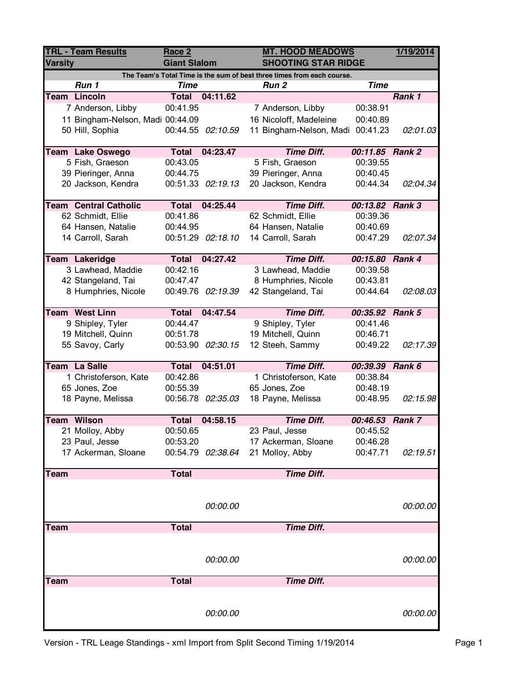| <b>TRL - Team Results</b><br><b>Varsity</b> |                                  | Race 2<br><b>Giant Slalom</b> |                   |  | <b>MT. HOOD MEADOWS</b><br><b>SHOOTING STAR RIDGE</b>                  | 1/19/2014       |          |
|---------------------------------------------|----------------------------------|-------------------------------|-------------------|--|------------------------------------------------------------------------|-----------------|----------|
|                                             |                                  |                               |                   |  | The Team's Total Time is the sum of best three times from each course. |                 |          |
|                                             | Run 1                            | <b>Time</b>                   |                   |  | Run <sub>2</sub>                                                       | <b>Time</b>     |          |
|                                             | <b>Team Lincoln</b>              | <b>Total</b>                  | 04:11.62          |  |                                                                        |                 | Rank 1   |
|                                             | 7 Anderson, Libby                | 00:41.95                      |                   |  | 7 Anderson, Libby                                                      | 00:38.91        |          |
|                                             | 11 Bingham-Nelson, Madi 00:44.09 |                               |                   |  | 16 Nicoloff, Madeleine                                                 | 00:40.89        |          |
|                                             | 50 Hill, Sophia                  |                               | 00:44.55 02:10.59 |  | 11 Bingham-Nelson, Madi                                                | 00:41.23        | 02:01.03 |
|                                             | <b>Team Lake Oswego</b>          | <b>Total</b>                  | 04:23.47          |  | <b>Time Diff.</b>                                                      | 00:11.85 Rank 2 |          |
|                                             | 5 Fish, Graeson                  | 00:43.05                      |                   |  | 5 Fish, Graeson                                                        | 00:39.55        |          |
|                                             | 39 Pieringer, Anna               | 00:44.75                      |                   |  | 39 Pieringer, Anna                                                     | 00:40.45        |          |
|                                             | 20 Jackson, Kendra               |                               | 00:51.33 02:19.13 |  | 20 Jackson, Kendra                                                     | 00:44.34        | 02:04.34 |
|                                             |                                  |                               |                   |  |                                                                        |                 |          |
|                                             | <b>Team Central Catholic</b>     | <b>Total</b>                  | 04:25.44          |  | <b>Time Diff.</b>                                                      | 00:13.82 Rank 3 |          |
|                                             | 62 Schmidt, Ellie                | 00:41.86                      |                   |  | 62 Schmidt, Ellie                                                      | 00:39.36        |          |
|                                             | 64 Hansen, Natalie               | 00:44.95                      |                   |  | 64 Hansen, Natalie                                                     | 00:40.69        |          |
|                                             | 14 Carroll, Sarah                |                               | 00:51.29 02:18.10 |  | 14 Carroll, Sarah                                                      | 00:47.29        | 02:07.34 |
|                                             | Team Lakeridge                   | <b>Total</b>                  | 04:27.42          |  | <b>Time Diff.</b>                                                      | 00:15.80 Rank 4 |          |
|                                             | 3 Lawhead, Maddie                | 00:42.16                      |                   |  | 3 Lawhead, Maddie                                                      | 00:39.58        |          |
|                                             | 42 Stangeland, Tai               | 00:47.47                      |                   |  | 8 Humphries, Nicole                                                    | 00:43.81        |          |
|                                             | 8 Humphries, Nicole              |                               | 00:49.76 02:19.39 |  |                                                                        | 00:44.64        |          |
|                                             |                                  |                               |                   |  | 42 Stangeland, Tai                                                     |                 | 02:08.03 |
|                                             | Team West Linn                   | <b>Total</b>                  | 04:47.54          |  | <b>Time Diff.</b>                                                      | 00:35.92 Rank 5 |          |
|                                             | 9 Shipley, Tyler                 | 00:44.47                      |                   |  | 9 Shipley, Tyler                                                       | 00:41.46        |          |
|                                             | 19 Mitchell, Quinn               | 00:51.78                      |                   |  | 19 Mitchell, Quinn                                                     | 00:46.71        |          |
|                                             | 55 Savoy, Carly                  | 00:53.90                      | 02:30.15          |  | 12 Steeh, Sammy                                                        | 00:49.22        | 02:17.39 |
|                                             | Team La Salle                    | <b>Total</b>                  | 04:51.01          |  | <b>Time Diff.</b>                                                      | 00:39.39 Rank 6 |          |
|                                             | 1 Christoferson, Kate            | 00:42.86                      |                   |  | 1 Christoferson, Kate                                                  | 00:38.84        |          |
|                                             | 65 Jones, Zoe                    | 00:55.39                      |                   |  | 65 Jones, Zoe                                                          | 00:48.19        |          |
|                                             | 18 Payne, Melissa                |                               | 00:56.78 02:35.03 |  | 18 Payne, Melissa                                                      | 00:48.95        | 02:15.98 |
|                                             |                                  |                               |                   |  |                                                                        |                 |          |
|                                             | Team Wilson                      | <b>Total</b>                  | 04:58.15          |  | <b>Time Diff.</b>                                                      | 00:46.53 Rank 7 |          |
|                                             | 21 Molloy, Abby                  | 00:50.65                      |                   |  | 23 Paul, Jesse                                                         | 00:45.52        |          |
|                                             | 23 Paul, Jesse                   | 00:53.20                      |                   |  | 17 Ackerman, Sloane                                                    | 00:46.28        |          |
|                                             | 17 Ackerman, Sloane              |                               | 00:54.79 02:38.64 |  | 21 Molloy, Abby                                                        | 00:47.71        | 02:19.51 |
| Team                                        |                                  | <b>Total</b>                  |                   |  | <b>Time Diff.</b>                                                      |                 |          |
|                                             |                                  |                               |                   |  |                                                                        |                 |          |
|                                             |                                  |                               |                   |  |                                                                        |                 |          |
|                                             |                                  |                               | 00:00.00          |  |                                                                        |                 | 00:00.00 |
| <b>Team</b>                                 |                                  | <b>Total</b>                  |                   |  | <b>Time Diff.</b>                                                      |                 |          |
|                                             |                                  |                               |                   |  |                                                                        |                 |          |
|                                             |                                  |                               |                   |  |                                                                        |                 |          |
|                                             |                                  |                               | 00:00.00          |  |                                                                        |                 | 00:00.00 |
| Team                                        |                                  | <b>Total</b>                  |                   |  | <b>Time Diff.</b>                                                      |                 |          |
|                                             |                                  |                               |                   |  |                                                                        |                 |          |
|                                             |                                  |                               | 00:00.00          |  |                                                                        |                 | 00:00.00 |
|                                             |                                  |                               |                   |  |                                                                        |                 |          |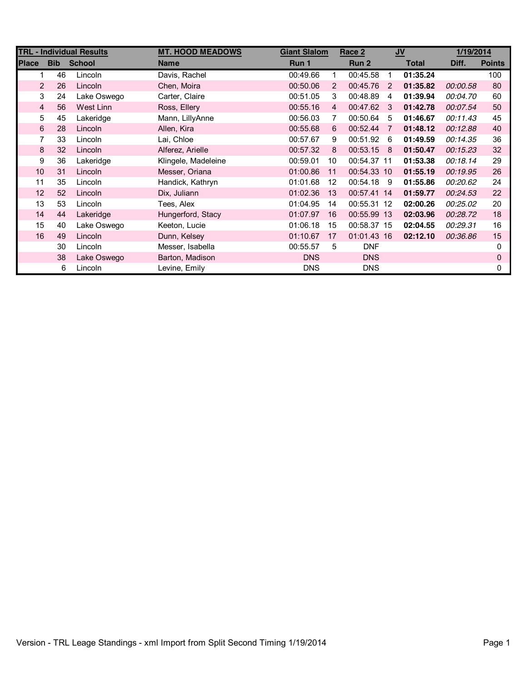|                |                      | <b>TRL - Individual Results</b> | <b>MT. HOOD MEADOWS</b> | <b>Giant Slalom</b> |                | Race 2      |                | $u$          | 1/19/2014 |               |
|----------------|----------------------|---------------------------------|-------------------------|---------------------|----------------|-------------|----------------|--------------|-----------|---------------|
| <b>Place</b>   | <b>Bib</b>           | <b>School</b>                   | <b>Name</b>             | Run 1               |                | Run 2       |                | <b>Total</b> | Diff.     | <b>Points</b> |
|                | 46<br>1.             | Lincoln                         | Davis, Rachel           | 00:49.66            | 1              | 00:45.58    | $\mathbf 1$    | 01:35.24     |           | 100           |
|                | $\overline{2}$<br>26 | Lincoln                         | Chen, Moira             | 00:50.06            | $\overline{2}$ | 00:45.76    | $\overline{2}$ | 01:35.82     | 00:00.58  | 80            |
| 3              | 24                   | Lake Oswego                     | Carter, Claire          | 00:51.05            | 3              | 00:48.89    | 4              | 01:39.94     | 00:04.70  | 60            |
| $\overline{4}$ | 56                   | West Linn                       | Ross, Ellery            | 00:55.16            | $\overline{4}$ | 00:47.62    | -3             | 01:42.78     | 00:07.54  | 50            |
| 5              | 45                   | Lakeridge                       | Mann, LillyAnne         | 00:56.03            | 7              | 00:50.64    | 5              | 01:46.67     | 00:11.43  | 45            |
| 6              | 28                   | Lincoln                         | Allen, Kira             | 00:55.68            | 6              | 00:52.44    | 7              | 01:48.12     | 00:12.88  | 40            |
|                | 7<br>33              | Lincoln                         | Lai, Chloe              | 00:57.67            | 9              | 00:51.92    | -6             | 01:49.59     | 00:14.35  | 36            |
| 8              | 32                   | Lincoln                         | Alferez, Arielle        | 00:57.32            | 8              | 00:53.15 8  |                | 01:50.47     | 00:15.23  | 32            |
| 9              | 36                   | Lakeridge                       | Klingele, Madeleine     | 00:59.01            | 10             | 00:54.37 11 |                | 01:53.38     | 00:18.14  | 29            |
| 10             | 31                   | Lincoln                         | Messer, Oriana          | 01:00.86            | 11             | 00:54.33 10 |                | 01:55.19     | 00:19.95  | 26            |
| 11             | 35                   | Lincoln                         | Handick, Kathryn        | 01:01.68            | 12             | 00:54.18    | - 9            | 01:55.86     | 00:20.62  | 24            |
| 12             | 52                   | Lincoln                         | Dix, Juliann            | 01:02.36            | 13             | 00:57.41 14 |                | 01:59.77     | 00:24.53  | 22            |
| 13             | 53                   | Lincoln                         | Tees, Alex              | 01:04.95            | 14             | 00:55.31 12 |                | 02:00.26     | 00:25.02  | 20            |
| 14             | 44                   | Lakeridge                       | Hungerford, Stacy       | 01:07.97            | 16             | 00:55.99 13 |                | 02:03.96     | 00:28.72  | 18            |
| 15             | 40                   | Lake Oswego                     | Keeton, Lucie           | 01:06.18            | 15             | 00:58.37 15 |                | 02:04.55     | 00:29.31  | 16            |
| 16             | 49                   | Lincoln                         | Dunn, Kelsey            | 01:10.67            | 17             | 01:01.43 16 |                | 02:12.10     | 00:36.86  | 15            |
|                | 30                   | Lincoln                         | Messer, Isabella        | 00:55.57            | 5              | <b>DNF</b>  |                |              |           | 0             |
|                | 38                   | Lake Oswego                     | Barton, Madison         | <b>DNS</b>          |                | <b>DNS</b>  |                |              |           | 0             |
|                | 6                    | Lincoln                         | Levine, Emily           | <b>DNS</b>          |                | <b>DNS</b>  |                |              |           | 0             |